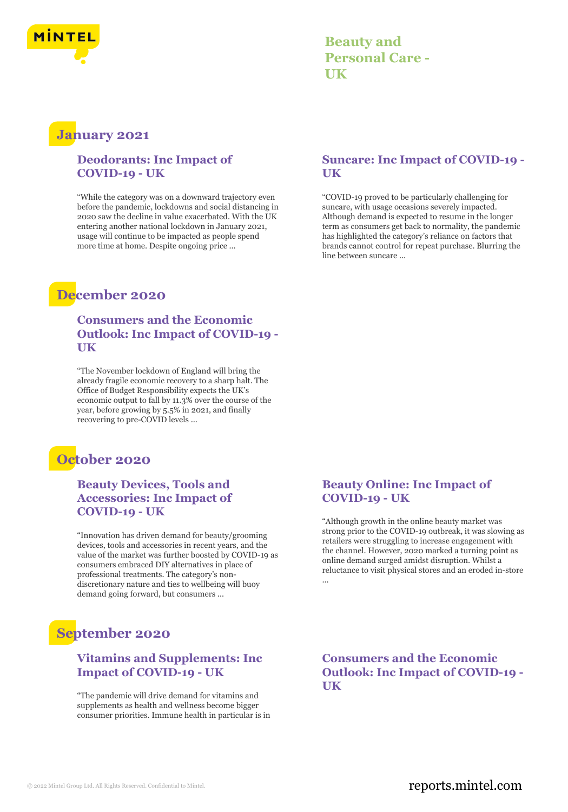

**Beauty and Personal Care - UK**

### **January 2021**

#### **Deodorants: Inc Impact of COVID-19 - UK**

"While the category was on a downward trajectory even before the pandemic, lockdowns and social distancing in 2020 saw the decline in value exacerbated. With the UK entering another national lockdown in January 2021, usage will continue to be impacted as people spend more time at home. Despite ongoing price ...

# **December 2020**

#### **Consumers and the Economic Outlook: Inc Impact of COVID-19 - UK**

"The November lockdown of England will bring the already fragile economic recovery to a sharp halt. The Office of Budget Responsibility expects the UK's economic output to fall by 11.3% over the course of the year, before growing by 5.5% in 2021, and finally recovering to pre-COVID levels ...

### **October 2020**

#### **Beauty Devices, Tools and Accessories: Inc Impact of COVID-19 - UK**

"Innovation has driven demand for beauty/grooming devices, tools and accessories in recent years, and the value of the market was further boosted by COVID-19 as consumers embraced DIY alternatives in place of professional treatments. The category's nondiscretionary nature and ties to wellbeing will buoy demand going forward, but consumers ...

# **September 2020**

#### **Vitamins and Supplements: Inc Impact of COVID-19 - UK**

"The pandemic will drive demand for vitamins and supplements as health and wellness become bigger consumer priorities. Immune health in particular is in

#### **Suncare: Inc Impact of COVID-19 - UK**

"COVID-19 proved to be particularly challenging for suncare, with usage occasions severely impacted. Although demand is expected to resume in the longer term as consumers get back to normality, the pandemic has highlighted the category's reliance on factors that brands cannot control for repeat purchase. Blurring the line between suncare ...

#### **Beauty Online: Inc Impact of COVID-19 - UK**

"Although growth in the online beauty market was strong prior to the COVID-19 outbreak, it was slowing as retailers were struggling to increase engagement with the channel. However, 2020 marked a turning point as online demand surged amidst disruption. Whilst a reluctance to visit physical stores and an eroded in-store ...

#### **Consumers and the Economic Outlook: Inc Impact of COVID-19 - UK**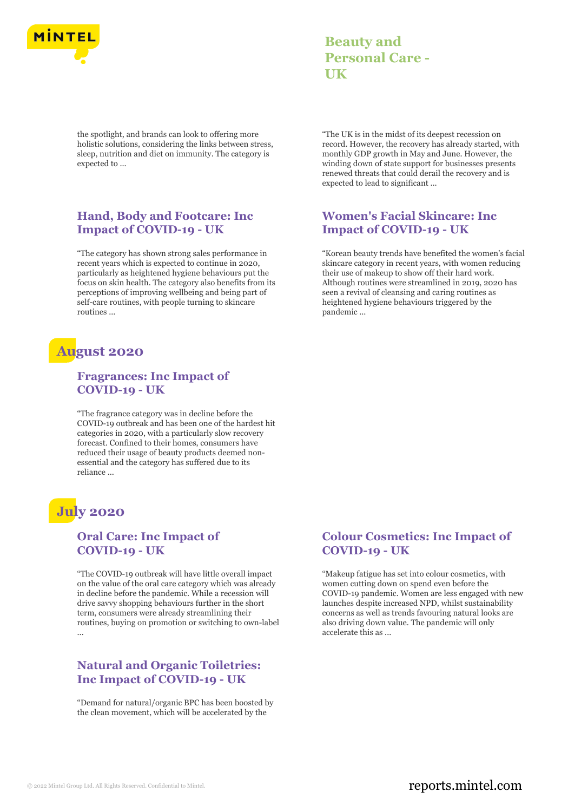

**Beauty and Personal Care - UK**

the spotlight, and brands can look to offering more holistic solutions, considering the links between stress, sleep, nutrition and diet on immunity. The category is expected to ...

#### **Hand, Body and Footcare: Inc Impact of COVID-19 - UK**

"The category has shown strong sales performance in recent years which is expected to continue in 2020, particularly as heightened hygiene behaviours put the focus on skin health. The category also benefits from its perceptions of improving wellbeing and being part of self-care routines, with people turning to skincare routines ...

### **August 2020**

#### **Fragrances: Inc Impact of COVID-19 - UK**

"The fragrance category was in decline before the COVID-19 outbreak and has been one of the hardest hit categories in 2020, with a particularly slow recovery forecast. Confined to their homes, consumers have reduced their usage of beauty products deemed nonessential and the category has suffered due to its reliance ...

# **July 2020**

#### **Oral Care: Inc Impact of COVID-19 - UK**

"The COVID-19 outbreak will have little overall impact on the value of the oral care category which was already in decline before the pandemic. While a recession will drive savvy shopping behaviours further in the short term, consumers were already streamlining their routines, buying on promotion or switching to own-label ...

#### **Natural and Organic Toiletries: Inc Impact of COVID-19 - UK**

"Demand for natural/organic BPC has been boosted by the clean movement, which will be accelerated by the

"The UK is in the midst of its deepest recession on record. However, the recovery has already started, with monthly GDP growth in May and June. However, the winding down of state support for businesses presents renewed threats that could derail the recovery and is expected to lead to significant ...

#### **Women's Facial Skincare: Inc Impact of COVID-19 - UK**

"Korean beauty trends have benefited the women's facial skincare category in recent years, with women reducing their use of makeup to show off their hard work. Although routines were streamlined in 2019, 2020 has seen a revival of cleansing and caring routines as heightened hygiene behaviours triggered by the pandemic ...

#### **Colour Cosmetics: Inc Impact of COVID-19 - UK**

"Makeup fatigue has set into colour cosmetics, with women cutting down on spend even before the COVID-19 pandemic. Women are less engaged with new launches despite increased NPD, whilst sustainability concerns as well as trends favouring natural looks are also driving down value. The pandemic will only accelerate this as ...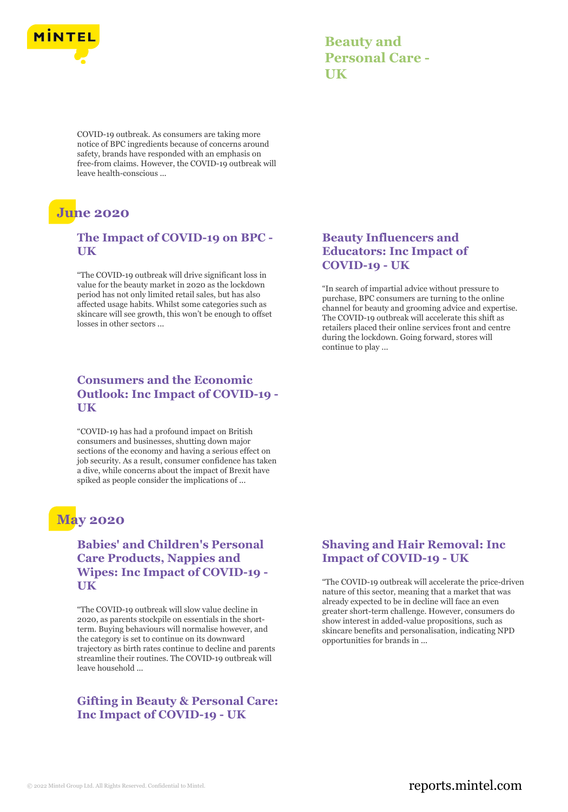

| <b>Beauty and</b>      |
|------------------------|
| <b>Personal Care -</b> |
| UK                     |

COVID-19 outbreak. As consumers are taking more notice of BPC ingredients because of concerns around safety, brands have responded with an emphasis on free-from claims. However, the COVID-19 outbreak will leave health-conscious ...

# **June 2020**

#### **The Impact of COVID-19 on BPC - UK**

"The COVID-19 outbreak will drive significant loss in value for the beauty market in 2020 as the lockdown period has not only limited retail sales, but has also affected usage habits. Whilst some categories such as skincare will see growth, this won't be enough to offset losses in other sectors ...

#### **Consumers and the Economic Outlook: Inc Impact of COVID-19 - UK**

"COVID-19 has had a profound impact on British consumers and businesses, shutting down major sections of the economy and having a serious effect on job security. As a result, consumer confidence has taken a dive, while concerns about the impact of Brexit have spiked as people consider the implications of ...

### **May 2020**

#### **Babies' and Children's Personal Care Products, Nappies and Wipes: Inc Impact of COVID-19 - UK**

"The COVID-19 outbreak will slow value decline in 2020, as parents stockpile on essentials in the shortterm. Buying behaviours will normalise however, and the category is set to continue on its downward trajectory as birth rates continue to decline and parents streamline their routines. The COVID-19 outbreak will leave household ...

#### **Gifting in Beauty & Personal Care: Inc Impact of COVID-19 - UK**

#### **Beauty Influencers and Educators: Inc Impact of COVID-19 - UK**

"In search of impartial advice without pressure to purchase, BPC consumers are turning to the online channel for beauty and grooming advice and expertise. The COVID-19 outbreak will accelerate this shift as retailers placed their online services front and centre during the lockdown. Going forward, stores will continue to play ...

#### **Shaving and Hair Removal: Inc Impact of COVID-19 - UK**

"The COVID-19 outbreak will accelerate the price-driven nature of this sector, meaning that a market that was already expected to be in decline will face an even greater short-term challenge. However, consumers do show interest in added-value propositions, such as skincare benefits and personalisation, indicating NPD opportunities for brands in ...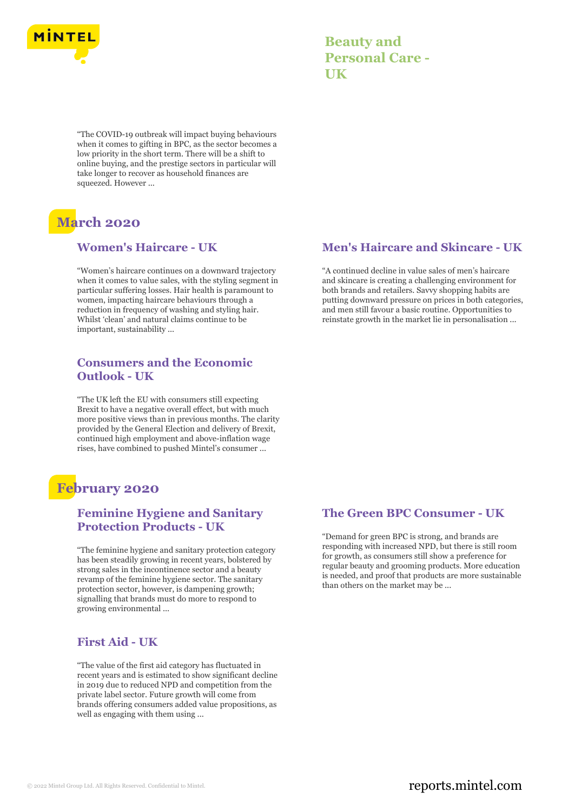

| <b>Beauty and</b>      |
|------------------------|
| <b>Personal Care -</b> |
| UK                     |

"The COVID-19 outbreak will impact buying behaviours when it comes to gifting in BPC, as the sector becomes a low priority in the short term. There will be a shift to online buying, and the prestige sectors in particular will take longer to recover as household finances are squeezed. However ...

# **March 2020**

#### **Women's Haircare - UK**

"Women's haircare continues on a downward trajectory when it comes to value sales, with the styling segment in particular suffering losses. Hair health is paramount to women, impacting haircare behaviours through a reduction in frequency of washing and styling hair. Whilst 'clean' and natural claims continue to be important, sustainability ...

#### **Consumers and the Economic Outlook - UK**

"The UK left the EU with consumers still expecting Brexit to have a negative overall effect, but with much more positive views than in previous months. The clarity provided by the General Election and delivery of Brexit, continued high employment and above-inflation wage rises, have combined to pushed Mintel's consumer ...

### **February 2020**

#### **Feminine Hygiene and Sanitary Protection Products - UK**

"The feminine hygiene and sanitary protection category has been steadily growing in recent years, bolstered by strong sales in the incontinence sector and a beauty revamp of the feminine hygiene sector. The sanitary protection sector, however, is dampening growth; signalling that brands must do more to respond to growing environmental ...

#### **First Aid - UK**

"The value of the first aid category has fluctuated in recent years and is estimated to show significant decline in 2019 due to reduced NPD and competition from the private label sector. Future growth will come from brands offering consumers added value propositions, as well as engaging with them using ...

#### **Men's Haircare and Skincare - UK**

"A continued decline in value sales of men's haircare and skincare is creating a challenging environment for both brands and retailers. Savvy shopping habits are putting downward pressure on prices in both categories, and men still favour a basic routine. Opportunities to reinstate growth in the market lie in personalisation ...

#### **The Green BPC Consumer - UK**

"Demand for green BPC is strong, and brands are responding with increased NPD, but there is still room for growth, as consumers still show a preference for regular beauty and grooming products. More education is needed, and proof that products are more sustainable than others on the market may be ...